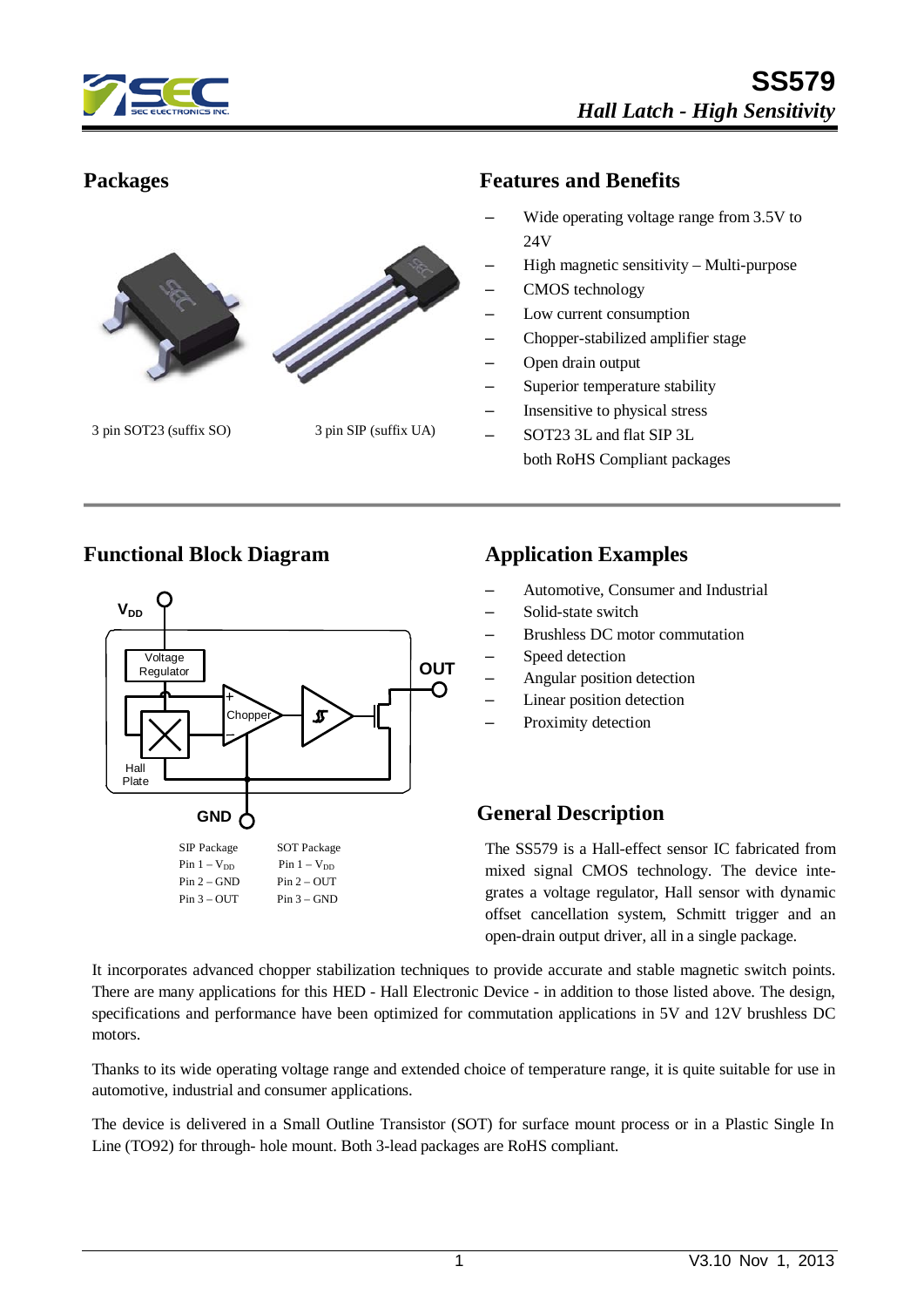



3 pin SOT23 (suffix SO) 3 pin SIP (suffix UA)

# **Packages Features and Benefits**

- Wide operating voltage range from 3.5V to 24V
- High magnetic sensitivity Multi-purpose
- CMOS technology
- Low current consumption
- Chopper-stabilized amplifier stage
- Open drain output
- Superior temperature stability
- Insensitive to physical stress
- SOT23 3L and flat SIP 3L both RoHS Compliant packages

#### **Functional Block Diagram Application Examples**



- Automotive, Consumer and Industrial
- Solid-state switch
- Brushless DC motor commutation
- Speed detection
- Angular position detection
- Linear position detection
- Proximity detection

#### **General Description**

The SS579 is a Hall-effect sensor IC fabricated from mixed signal CMOS technology. The device integrates a voltage regulator, Hall sensor with dynamic offset cancellation system, Schmitt trigger and an open-drain output driver, all in a single package.

It incorporates advanced chopper stabilization techniques to provide accurate and stable magnetic switch points. There are many applications for this HED - Hall Electronic Device - in addition to those listed above. The design, specifications and performance have been optimized for commutation applications in 5V and 12V brushless DC motors.

Thanks to its wide operating voltage range and extended choice of temperature range, it is quite suitable for use in automotive, industrial and consumer applications.

The device is delivered in a Small Outline Transistor (SOT) for surface mount process or in a Plastic Single In Line (TO92) for through- hole mount. Both 3-lead packages are RoHS compliant.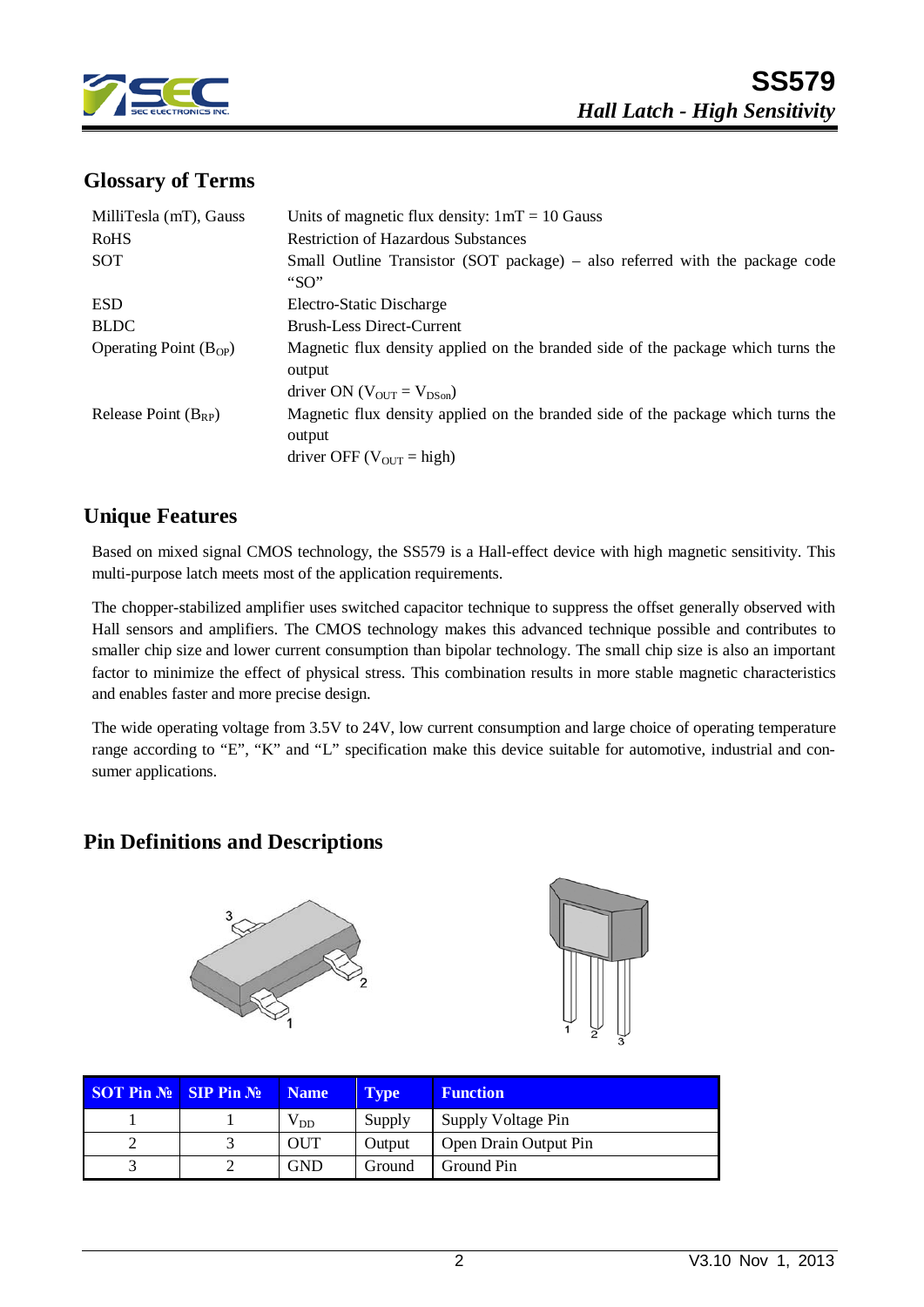

#### **Glossary of Terms**

| MilliTesla (mT), Gauss     | Units of magnetic flux density: $1mT = 10$ Gauss                                                                                 |
|----------------------------|----------------------------------------------------------------------------------------------------------------------------------|
| <b>RoHS</b>                | <b>Restriction of Hazardous Substances</b>                                                                                       |
| SOT                        | Small Outline Transistor (SOT package) – also referred with the package code<br>"SO"                                             |
| <b>ESD</b>                 | Electro-Static Discharge                                                                                                         |
| <b>BLDC</b>                | <b>Brush-Less Direct-Current</b>                                                                                                 |
| Operating Point $(B_{OP})$ | Magnetic flux density applied on the branded side of the package which turns the<br>output<br>driver ON ( $V_{OUT} = V_{DSon}$ ) |
| Release Point $(B_{RP})$   | Magnetic flux density applied on the branded side of the package which turns the<br>output<br>driver OFF ( $V_{OUT}$ = high)     |

#### **Unique Features**

Based on mixed signal CMOS technology, the SS579 is a Hall-effect device with high magnetic sensitivity. This multi-purpose latch meets most of the application requirements.

The chopper-stabilized amplifier uses switched capacitor technique to suppress the offset generally observed with Hall sensors and amplifiers. The CMOS technology makes this advanced technique possible and contributes to smaller chip size and lower current consumption than bipolar technology. The small chip size is also an important factor to minimize the effect of physical stress. This combination results in more stable magnetic characteristics and enables faster and more precise design.

The wide operating voltage from 3.5V to 24V, low current consumption and large choice of operating temperature range according to "E", "K" and "L" specification make this device suitable for automotive, industrial and consumer applications.

#### **Pin Definitions and Descriptions**





| <b>SOT Pin <math>\mathbb{N}_2</math> SIP Pin <math>\mathbb{N}_2</math></b> | <b>Name</b> | <b>Type</b> | <b>Function</b>       |
|----------------------------------------------------------------------------|-------------|-------------|-----------------------|
|                                                                            | $V_{DD}$    | Supply      | Supply Voltage Pin    |
|                                                                            | OUT         | Output      | Open Drain Output Pin |
|                                                                            | <b>GND</b>  | Ground      | Ground Pin            |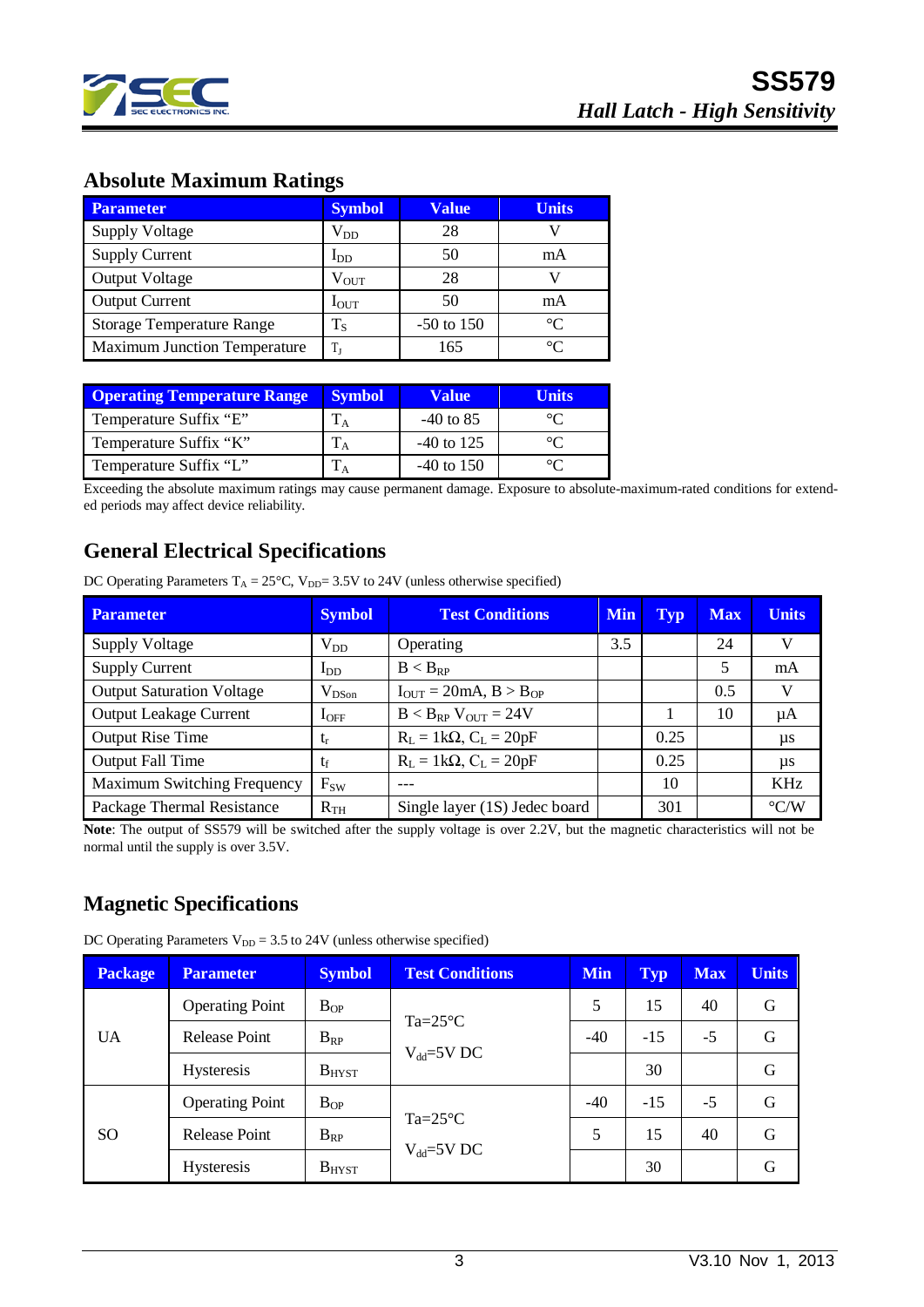

#### **Absolute Maximum Ratings**

| <b>Parameter</b>                    | <b>Symbol</b>    | <b>Value</b> | <b>Units</b> |
|-------------------------------------|------------------|--------------|--------------|
| <b>Supply Voltage</b>               | $\rm V_{DD}$     | 28           |              |
| <b>Supply Current</b>               | $I_{DD}$         | 50           | mA           |
| <b>Output Voltage</b>               | $\rm V_{OUT}$    | 28           |              |
| <b>Output Current</b>               | $I_{\text{OUT}}$ | 50           | mA           |
| <b>Storage Temperature Range</b>    | $T_{\rm S}$      | $-50$ to 150 | $^{\circ}C$  |
| <b>Maximum Junction Temperature</b> | T,               | 165          | ി            |

| <b>Operating Temperature Range</b> | <b>Symbol</b> | <b>Value</b> | Units   |
|------------------------------------|---------------|--------------|---------|
| Temperature Suffix "E"             |               | $-40$ to 85  | $\circ$ |
| Temperature Suffix "K"             |               | $-40$ to 125 | $\circ$ |
| Temperature Suffix "L"             |               | $-40$ to 150 |         |

Exceeding the absolute maximum ratings may cause permanent damage. Exposure to absolute-maximum-rated conditions for extended periods may affect device reliability.

## **General Electrical Specifications**

DC Operating Parameters  $T_A = 25^{\circ}$ C, V<sub>DD</sub>= 3.5V to 24V (unless otherwise specified)

| <b>Parameter</b>                 | <b>Symbol</b> | <b>Test Conditions</b>                             | <b>Min</b> | <b>Typ</b> | <b>Max</b> | <b>Units</b>       |
|----------------------------------|---------------|----------------------------------------------------|------------|------------|------------|--------------------|
| <b>Supply Voltage</b>            | $V_{DD}$      | Operating                                          | 3.5        |            | 24         | V                  |
| <b>Supply Current</b>            | $I_{DD}$      | $B < B_{RP}$                                       |            |            |            | mA                 |
| <b>Output Saturation Voltage</b> | $V_{DSon}$    | $I_{\text{OUT}} = 20 \text{mA}, B > B_{\text{OP}}$ |            |            | 0.5        | V                  |
| Output Leakage Current           | $I_{\rm OFF}$ | $B < B_{RP}$ V <sub>OUT</sub> = 24V                |            |            | 10         | μA                 |
| <b>Output Rise Time</b>          | t,            | $R_L = 1k\Omega$ , $C_L = 20pF$                    |            | 0.25       |            | μs                 |
| Output Fall Time                 | tr            | $R_L = 1k\Omega$ , $C_L = 20pF$                    |            | 0.25       |            | $\mu s$            |
| Maximum Switching Frequency      | $F_{SW}$      |                                                    |            | 10         |            | KH <sub>z</sub>    |
| Package Thermal Resistance       | $R_{TH}$      | Single layer (1S) Jedec board                      |            | 301        |            | $\rm ^{\circ}$ C/W |

**Note**: The output of SS579 will be switched after the supply voltage is over 2.2V, but the magnetic characteristics will not be normal until the supply is over 3.5V.

## **Magnetic Specifications**

DC Operating Parameters  $V_{DD} = 3.5$  to 24V (unless otherwise specified)

| <b>Package</b> | <b>Parameter</b>                                       | <b>Symbol</b> | <b>Test Conditions</b>                 | <b>Min</b> | <b>Typ</b> | <b>Max</b> | <b>Units</b> |
|----------------|--------------------------------------------------------|---------------|----------------------------------------|------------|------------|------------|--------------|
|                | <b>Operating Point</b>                                 | $B_{OP}$      |                                        | 5          | 15         | 40         | G            |
| <b>UA</b>      | $Ta = 25^{\circ}C$<br><b>Release Point</b><br>$B_{RP}$ |               | $-40$                                  | $-15$      | $-5$       | G          |              |
|                | <b>Hysteresis</b>                                      | $B_{H YST}$   | $V_{dd} = 5V$ DC                       |            | 30         |            | G            |
|                | <b>Operating Point</b><br>$B_{OP}$                     | $-40$         | $-15$                                  | $-5$       | G          |            |              |
| <sub>SO</sub>  | <b>Release Point</b>                                   | $B_{RP}$      | $Ta = 25^{\circ}C$<br>$V_{dd} = 5V$ DC | 5          | 15         | 40         | G            |
|                | <b>Hysteresis</b>                                      | $B_{H YST}$   |                                        |            | 30         |            | G            |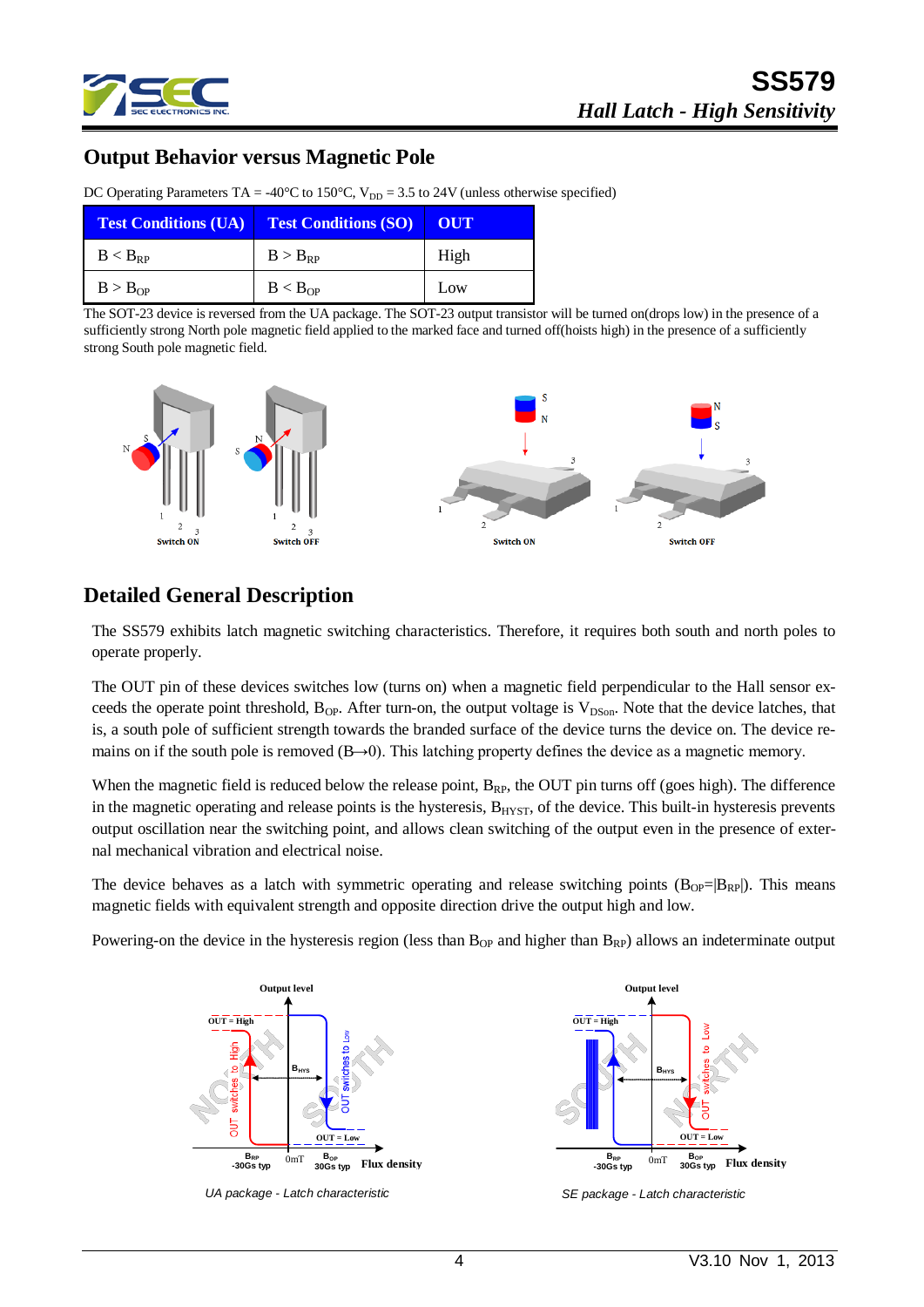

#### **Output Behavior versus Magnetic Pole**

| <b>Test Conditions (UA)</b> | <b>Test Conditions (SO)</b> | OUT  |
|-----------------------------|-----------------------------|------|
| $B < B_{RP}$                | $B > B_{RP}$                | High |
| B > B <sub>OP</sub>         | B < B <sub>OP</sub>         | Low  |

DC Operating Parameters TA = -40°C to 150°C,  $V_{DD} = 3.5$  to 24V (unless otherwise specified)

The SOT-23 device is reversed from the UA package. The SOT-23 output transistor will be turned on(drops low) in the presence of a sufficiently strong North pole magnetic field applied to the marked face and turned off(hoists high) in the presence of a sufficiently strong South pole magnetic field.



#### **Detailed General Description**

The SS579 exhibits latch magnetic switching characteristics. Therefore, it requires both south and north poles to operate properly.

The OUT pin of these devices switches low (turns on) when a magnetic field perpendicular to the Hall sensor exceeds the operate point threshold,  $B_{OP}$ . After turn-on, the output voltage is  $V_{DSon}$ . Note that the device latches, that is, a south pole of sufficient strength towards the branded surface of the device turns the device on. The device remains on if the south pole is removed (B→0). This latching property defines the device as a magnetic memory.

When the magnetic field is reduced below the release point,  $B_{RP}$ , the OUT pin turns off (goes high). The difference in the magnetic operating and release points is the hysteresis,  $B<sub>HYST</sub>$ , of the device. This built-in hysteresis prevents output oscillation near the switching point, and allows clean switching of the output even in the presence of external mechanical vibration and electrical noise.

The device behaves as a latch with symmetric operating and release switching points  $(B_{OP}=|B_{RP}|)$ . This means magnetic fields with equivalent strength and opposite direction drive the output high and low.

Powering-on the device in the hysteresis region (less than  $B_{OP}$  and higher than  $B_{RP}$ ) allows an indeterminate output



*UA package - Latch characteristic*



*SE package - Latch characteristic*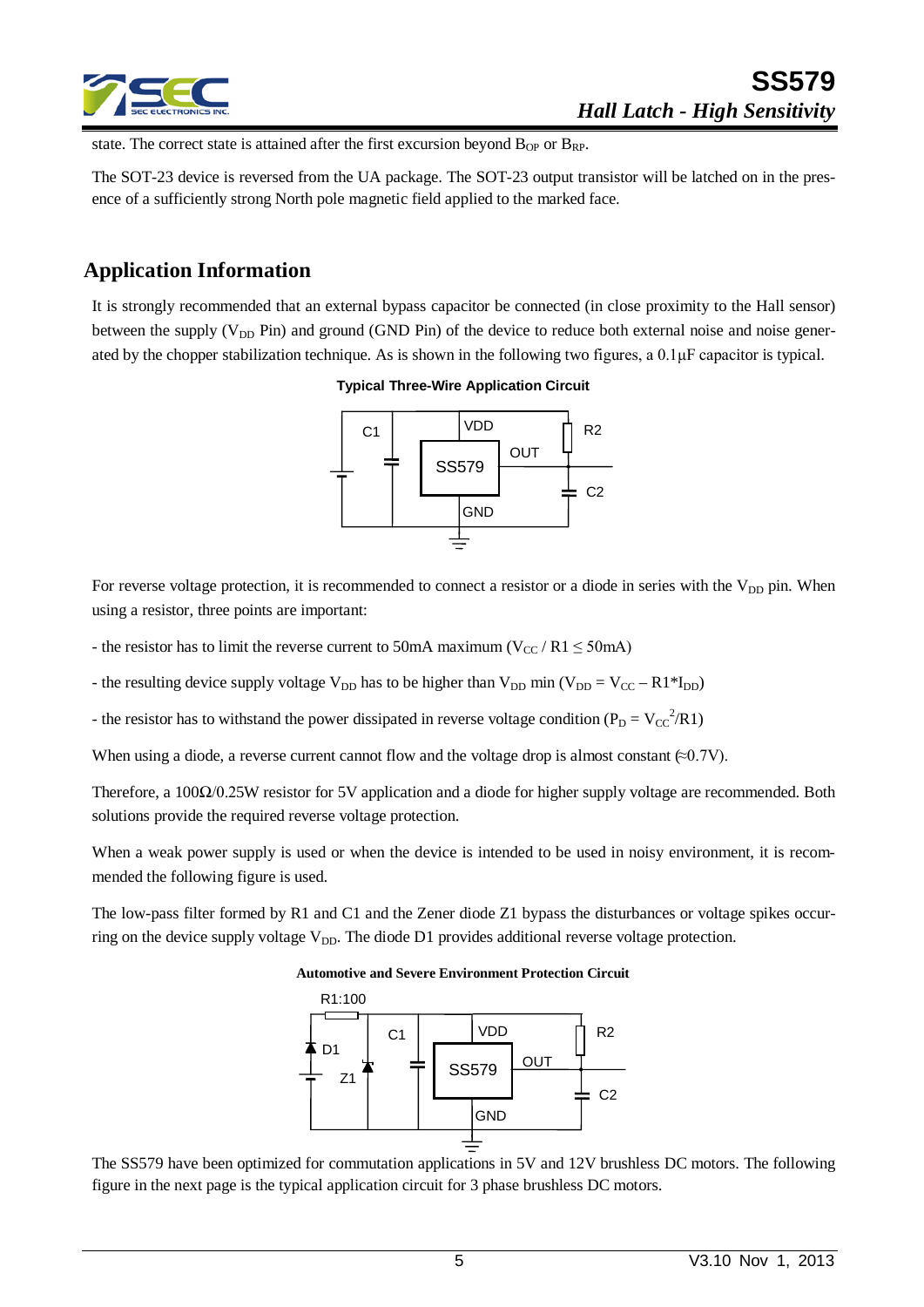

state. The correct state is attained after the first excursion beyond  $B_{OP}$  or  $B_{RP}$ .

The SOT-23 device is reversed from the UA package. The SOT-23 output transistor will be latched on in the presence of a sufficiently strong North pole magnetic field applied to the marked face.

#### **Application Information**

It is strongly recommended that an external bypass capacitor be connected (in close proximity to the Hall sensor) between the supply ( $V_{DD}$  Pin) and ground (GND Pin) of the device to reduce both external noise and noise generated by the chopper stabilization technique. As is shown in the following two figures, a 0.1μF capacitor is typical.

#### **Typical Three-Wire Application Circuit**



For reverse voltage protection, it is recommended to connect a resistor or a diode in series with the  $V_{DD}$  pin. When using a resistor, three points are important:

- the resistor has to limit the reverse current to 50mA maximum ( $V_{CC}$  / R1  $\leq$  50mA)

- the resulting device supply voltage  $V_{DD}$  has to be higher than  $V_{DD}$  min ( $V_{DD} = V_{CC} - R1*I_{DD}$ )

- the resistor has to withstand the power dissipated in reverse voltage condition ( $P_D = V_{CC}^2 / R1$ )

When using a diode, a reverse current cannot flow and the voltage drop is almost constant  $(\approx 0.7V)$ .

Therefore, a 100Ω/0.25W resistor for 5V application and a diode for higher supply voltage are recommended. Both solutions provide the required reverse voltage protection.

When a weak power supply is used or when the device is intended to be used in noisy environment, it is recommended the following figure is used.

The low-pass filter formed by R1 and C1 and the Zener diode Z1 bypass the disturbances or voltage spikes occurring on the device supply voltage  $V_{DD}$ . The diode D1 provides additional reverse voltage protection.

#### **Automotive and Severe Environment Protection Circuit**



The SS579 have been optimized for commutation applications in 5V and 12V brushless DC motors. The following figure in the next page is the typical application circuit for 3 phase brushless DC motors.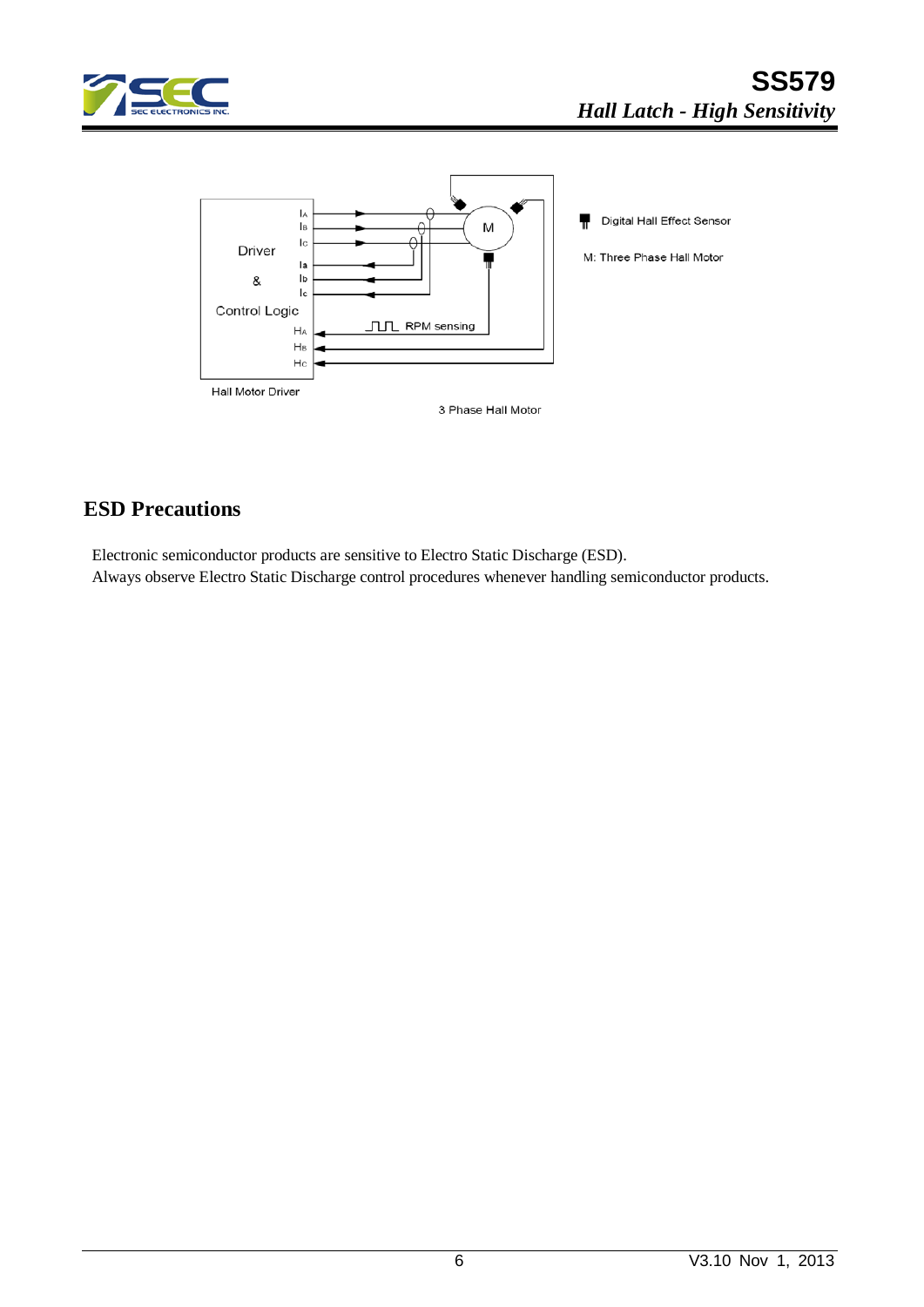



## **ESD Precautions**

Electronic semiconductor products are sensitive to Electro Static Discharge (ESD). Always observe Electro Static Discharge control procedures whenever handling semiconductor products.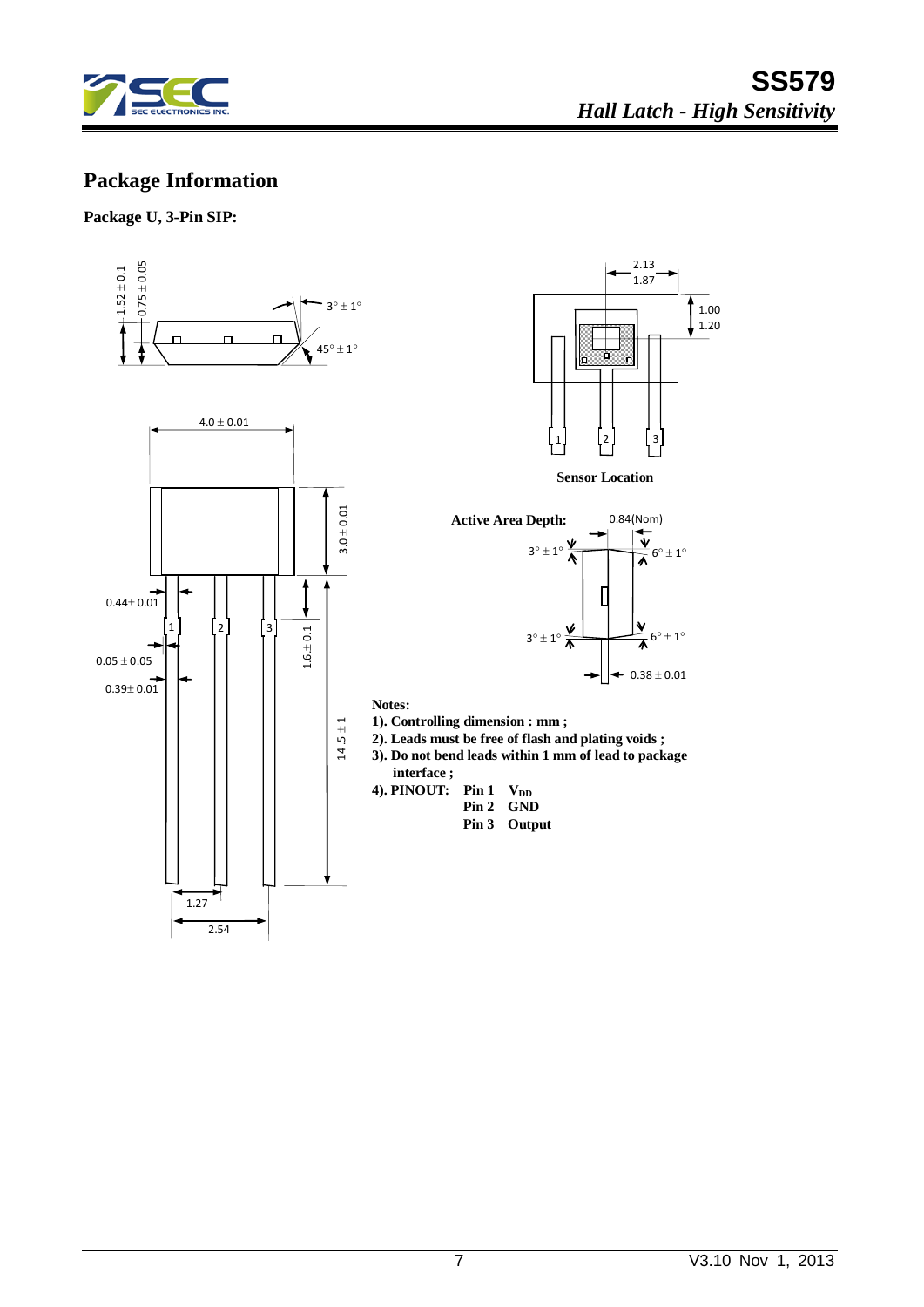

## **Package Information**

**Package U, 3-Pin SIP:**